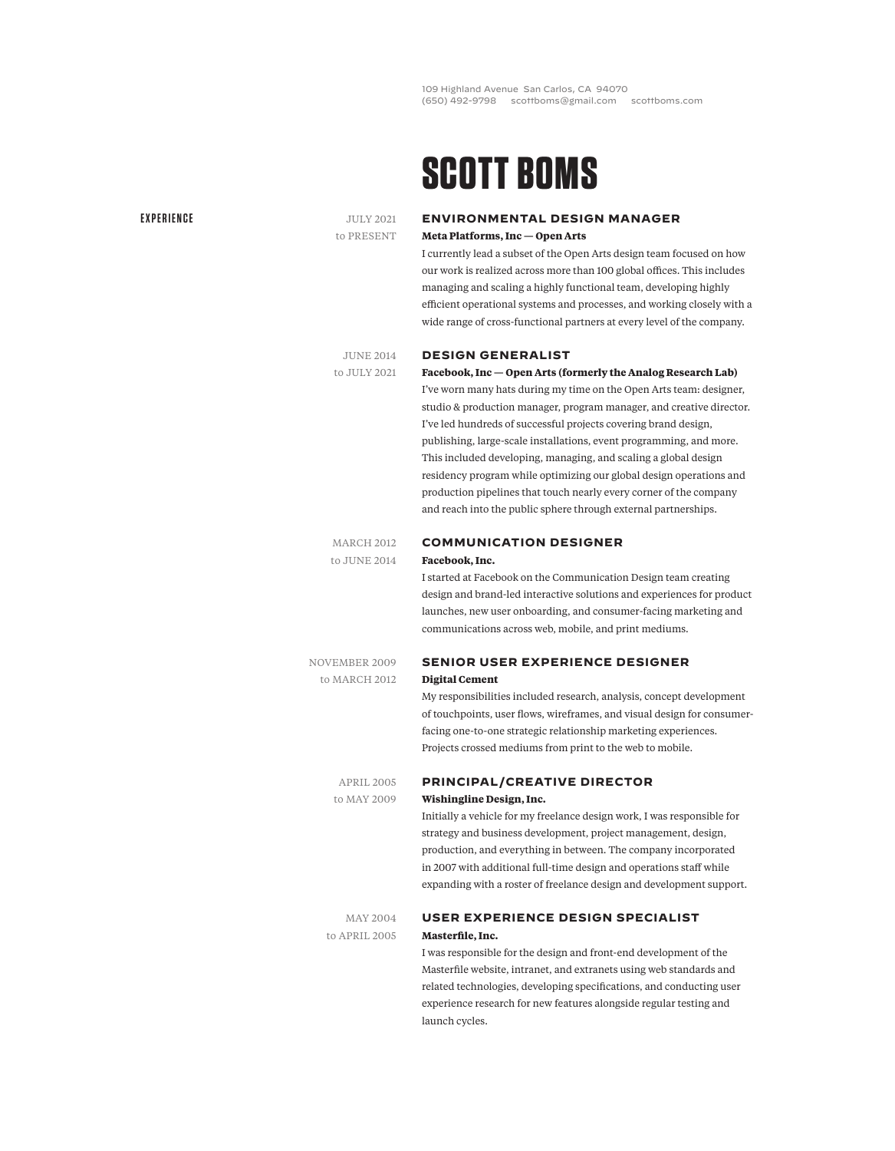109 Highland Avenue San Carlos, CA 94070 (650) 492-9798 scottboms@gmail.com scottboms.com

# **SCOTT BOMS**

**DESIGN GENERALIST**

#### **EXPERIENCE**

JULY 2021 to PRESENT

### **ENVIRONMENTAL DESIGN MANAGER Meta Platforms, Inc — Open Arts**

I currently lead a subset of the Open Arts design team focused on how our work is realized across more than 100 global offices. This includes managing and scaling a highly functional team, developing highly efficient operational systems and processes, and working closely with a wide range of cross-functional partners at every level of the company.

#### JUNE 2014 to JULY 2021

#### **Facebook, Inc — Open Arts (formerly the Analog Research Lab)**

I've worn many hats during my time on the Open Arts team: designer, studio & production manager, program manager, and creative director. I've led hundreds of successful projects covering brand design, publishing, large-scale installations, event programming, and more. This included developing, managing, and scaling a global design residency program while optimizing our global design operations and production pipelines that touch nearly every corner of the company and reach into the public sphere through external partnerships.

### MARCH 2012 to JUNE 2014

### **COMMUNICATION DESIGNER Facebook, Inc.**

I started at Facebook on the Communication Design team creating design and brand-led interactive solutions and experiences for product launches, new user onboarding, and consumer-facing marketing and communications across web, mobile, and print mediums.

NOVEMBER 2009 to MARCH 2012

# **SENIOR USER EXPERIENCE DESIGNER Digital Cement**

My responsibilities included research, analysis, concept development of touchpoints, user flows, wireframes, and visual design for consumerfacing one-to-one strategic relationship marketing experiences. Projects crossed mediums from print to the web to mobile.

APRIL 2005 to MAY 2009

## **PRINCIPAL/CREATIVE DIRECTOR Wishingline Design, Inc.**

Initially a vehicle for my freelance design work, I was responsible for strategy and business development, project management, design, production, and everything in between. The company incorporated in 2007 with additional full-time design and operations staff while expanding with a roster of freelance design and development support.

MAY 2004 to APRIL 2005

# **USER EXPERIENCE DESIGN SPECIALIST Masterfile, Inc.**

I was responsible for the design and front-end development of the Masterfile website, intranet, and extranets using web standards and related technologies, developing specifications, and conducting user experience research for new features alongside regular testing and launch cycles.